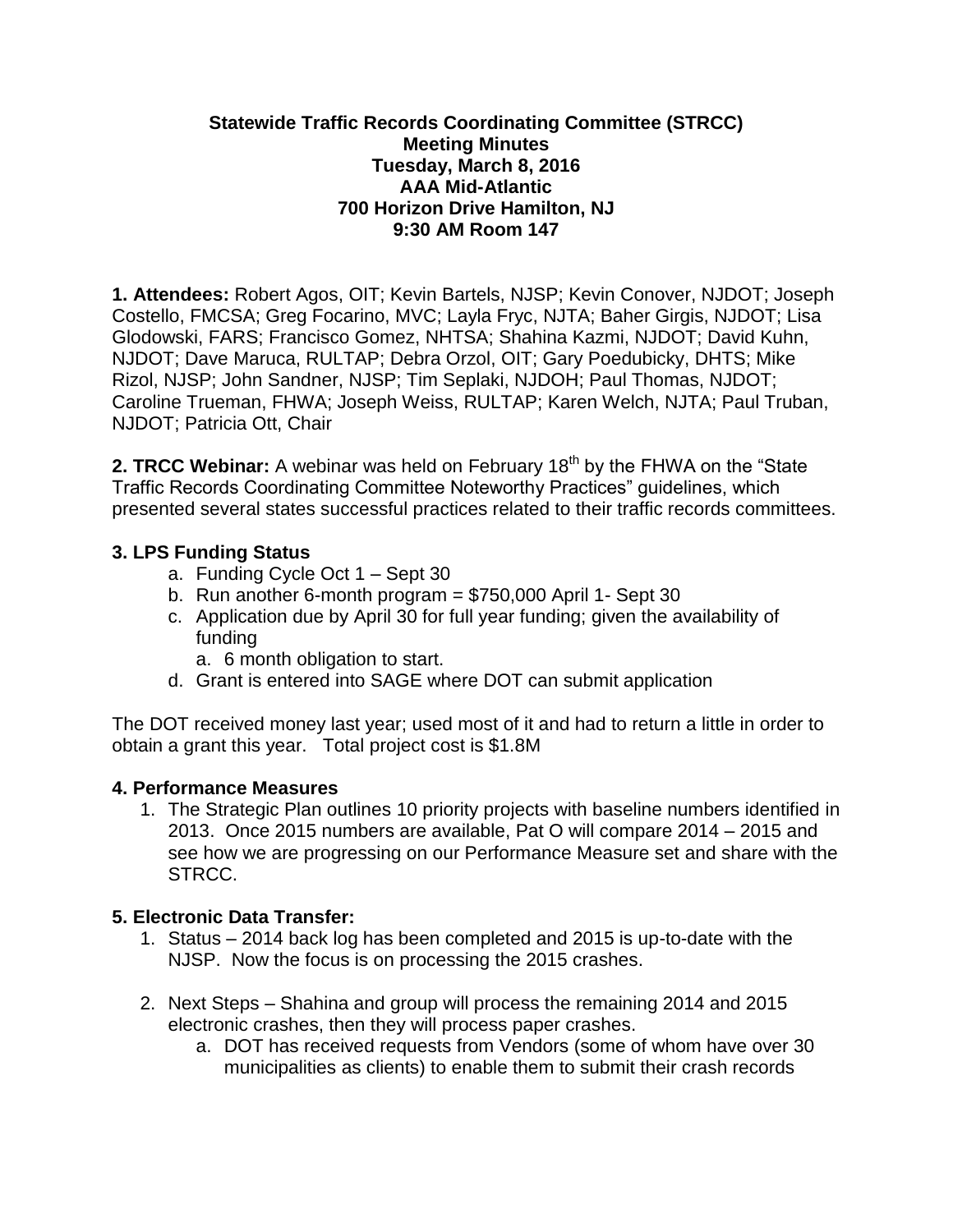#### **Statewide Traffic Records Coordinating Committee (STRCC) Meeting Minutes Tuesday, March 8, 2016 AAA Mid-Atlantic 700 Horizon Drive Hamilton, NJ 9:30 AM Room 147**

**1. Attendees:** Robert Agos, OIT; Kevin Bartels, NJSP; Kevin Conover, NJDOT; Joseph Costello, FMCSA; Greg Focarino, MVC; Layla Fryc, NJTA; Baher Girgis, NJDOT; Lisa Glodowski, FARS; Francisco Gomez, NHTSA; Shahina Kazmi, NJDOT; David Kuhn, NJDOT; Dave Maruca, RULTAP; Debra Orzol, OIT; Gary Poedubicky, DHTS; Mike Rizol, NJSP; John Sandner, NJSP; Tim Seplaki, NJDOH; Paul Thomas, NJDOT; Caroline Trueman, FHWA; Joseph Weiss, RULTAP; Karen Welch, NJTA; Paul Truban, NJDOT; Patricia Ott, Chair

**2. TRCC Webinar:** A webinar was held on February 18<sup>th</sup> by the FHWA on the "State" Traffic Records Coordinating Committee Noteworthy Practices" guidelines, which presented several states successful practices related to their traffic records committees.

### **3. LPS Funding Status**

- a. Funding Cycle Oct 1 Sept 30
- b. Run another 6-month program  $= $750,000$  April 1- Sept 30
- c. Application due by April 30 for full year funding; given the availability of funding
	- a. 6 month obligation to start.
- d. Grant is entered into SAGE where DOT can submit application

The DOT received money last year; used most of it and had to return a little in order to obtain a grant this year. Total project cost is \$1.8M

#### **4. Performance Measures**

1. The Strategic Plan outlines 10 priority projects with baseline numbers identified in 2013. Once 2015 numbers are available, Pat O will compare 2014 – 2015 and see how we are progressing on our Performance Measure set and share with the STRCC.

### **5. Electronic Data Transfer:**

- 1. Status 2014 back log has been completed and 2015 is up-to-date with the NJSP. Now the focus is on processing the 2015 crashes.
- 2. Next Steps Shahina and group will process the remaining 2014 and 2015 electronic crashes, then they will process paper crashes.
	- a. DOT has received requests from Vendors (some of whom have over 30 municipalities as clients) to enable them to submit their crash records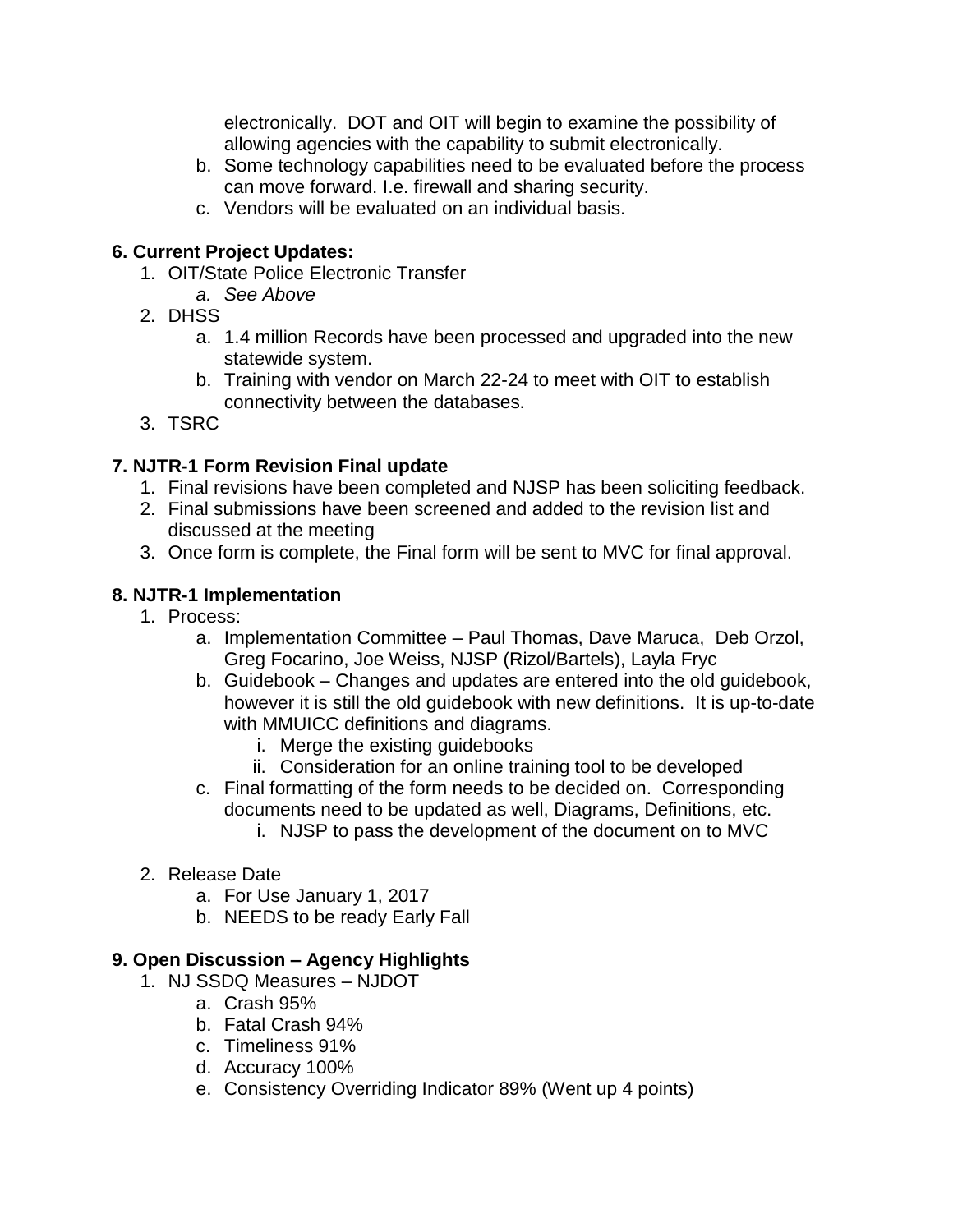electronically. DOT and OIT will begin to examine the possibility of allowing agencies with the capability to submit electronically.

- b. Some technology capabilities need to be evaluated before the process can move forward. I.e. firewall and sharing security.
- c. Vendors will be evaluated on an individual basis.

## **6. Current Project Updates:**

- 1. OIT/State Police Electronic Transfer
	- *a. See Above*
- 2. DHSS
	- a. 1.4 million Records have been processed and upgraded into the new statewide system.
	- b. Training with vendor on March 22-24 to meet with OIT to establish connectivity between the databases.
- 3. TSRC

# **7. NJTR-1 Form Revision Final update**

- 1. Final revisions have been completed and NJSP has been soliciting feedback.
- 2. Final submissions have been screened and added to the revision list and discussed at the meeting
- 3. Once form is complete, the Final form will be sent to MVC for final approval.

# **8. NJTR-1 Implementation**

- 1. Process:
	- a. Implementation Committee Paul Thomas, Dave Maruca, Deb Orzol, Greg Focarino, Joe Weiss, NJSP (Rizol/Bartels), Layla Fryc
	- b. Guidebook Changes and updates are entered into the old guidebook, however it is still the old guidebook with new definitions. It is up-to-date with MMUICC definitions and diagrams.
		- i. Merge the existing guidebooks
		- ii. Consideration for an online training tool to be developed
	- c. Final formatting of the form needs to be decided on. Corresponding documents need to be updated as well, Diagrams, Definitions, etc.
		- i. NJSP to pass the development of the document on to MVC
- 2. Release Date
	- a. For Use January 1, 2017
	- b. NEEDS to be ready Early Fall

## **9. Open Discussion – Agency Highlights**

- 1. NJ SSDQ Measures NJDOT
	- a. Crash 95%
	- b. Fatal Crash 94%
	- c. Timeliness 91%
	- d. Accuracy 100%
	- e. Consistency Overriding Indicator 89% (Went up 4 points)